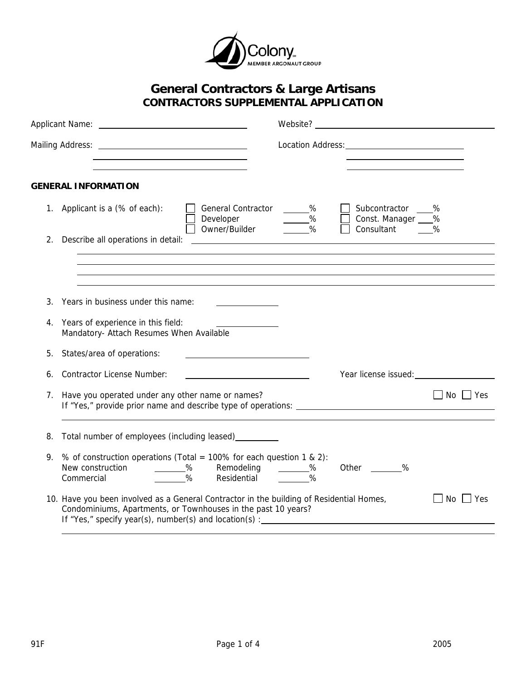

## **General Contractors & Large Artisans CONTRACTORS SUPPLEMENTAL APPLICATION**

|    | <u> 1989 - Johann Stein, mars an t-Amerikaansk ferskeizh en de skriuwer en deze en deze en deze en deze en deze </u>                                                                                                |                           |                                                     |                      |
|----|---------------------------------------------------------------------------------------------------------------------------------------------------------------------------------------------------------------------|---------------------------|-----------------------------------------------------|----------------------|
|    | <b>GENERAL INFORMATION</b>                                                                                                                                                                                          |                           |                                                     |                      |
| 1. | Applicant is a (% of each):<br><b>General Contractor</b><br>Developer<br>Owner/Builder <u>_____</u>                                                                                                                 | $\sim$ %<br>$\sim$ %<br>% | Subcontractor %<br>Const. Manager ___<br>Consultant | %<br>%               |
| 2. | Describe all operations in detail:<br><u> The Communication of the Communication</u>                                                                                                                                |                           |                                                     |                      |
|    |                                                                                                                                                                                                                     |                           |                                                     |                      |
|    |                                                                                                                                                                                                                     |                           |                                                     |                      |
|    | 3. Years in business under this name:                                                                                                                                                                               |                           |                                                     |                      |
| 4. | Years of experience in this field:<br>Mandatory- Attach Resumes When Available                                                                                                                                      |                           |                                                     |                      |
| 5. | States/area of operations:                                                                                                                                                                                          |                           |                                                     |                      |
| 6. | <b>Contractor License Number:</b>                                                                                                                                                                                   |                           |                                                     |                      |
| 7. | Have you operated under any other name or names?                                                                                                                                                                    |                           |                                                     | $\Box$ No $\Box$ Yes |
| 8. | Total number of employees (including leased) _________                                                                                                                                                              |                           |                                                     |                      |
| 9. | % of construction operations (Total = 100% for each question 1 & 2):<br>New construction<br>$\sim$ $\frac{\%}{\%}$<br>Remodeling<br>$\%$<br>Residential<br>Commercial                                               | $\frac{9}{6}$<br>%        | Other ________%                                     |                      |
|    | 10. Have you been involved as a General Contractor in the building of Residential Homes,<br>Condominiums, Apartments, or Townhouses in the past 10 years?<br>If "Yes," specify year(s), number(s) and location(s) : |                           |                                                     | No   Yes             |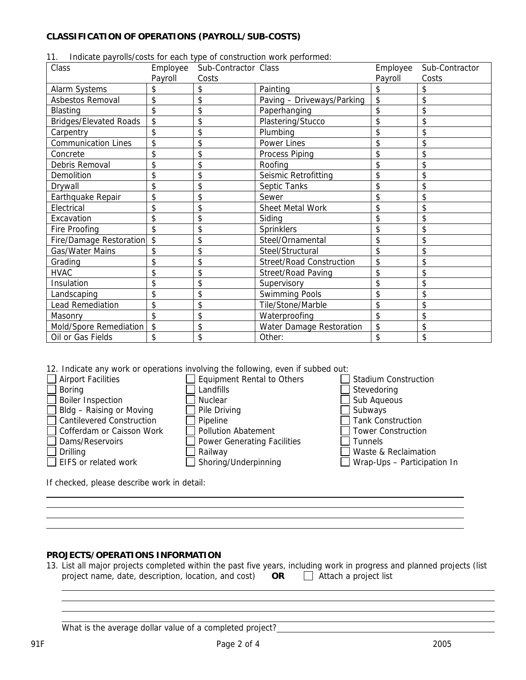## **CLASSIFICATION OF OPERATIONS (PAYROLL/SUB-COSTS)**

| 11. |  |  |  |  |  | Indicate payrolls/costs for each type of construction work performed: |  |
|-----|--|--|--|--|--|-----------------------------------------------------------------------|--|
|-----|--|--|--|--|--|-----------------------------------------------------------------------|--|

| Class                          | Employee | Sub-Contractor Class |                                 | Employee | Sub-Contractor |
|--------------------------------|----------|----------------------|---------------------------------|----------|----------------|
|                                | Payroll  | Costs                |                                 | Payroll  | Costs          |
| Alarm Systems                  |          | \$                   | Painting                        |          |                |
| Asbestos Removal               | \$       | \$                   | Paving - Driveways/Parking      | \$       | \$             |
| <b>Blasting</b>                | \$       | \$                   | Paperhanging                    | \$       | \$             |
| <b>Bridges/Elevated Roads</b>  | \$       | \$                   | Plastering/Stucco               | \$       | \$             |
| Carpentry                      | \$       | \$                   | Plumbing                        | \$       | \$             |
| <b>Communication Lines</b>     | \$       | \$                   | Power Lines                     | \$       | \$             |
| Concrete                       | \$       | \$                   | Process Piping                  | \$       | \$             |
| Debris Removal                 | \$       | \$                   | Roofing                         | \$       | \$             |
| Demolition                     | \$       | \$                   | Seismic Retrofitting            | \$       | \$             |
| Drywall                        | \$       | \$                   | Septic Tanks                    | \$       | \$             |
| Earthquake Repair              | \$       | \$                   | Sewer                           | \$       | \$             |
| Electrical                     | \$       | \$                   | Sheet Metal Work                | \$       | \$             |
| Excavation                     | \$       | \$                   | Siding                          | \$       | \$             |
| Fire Proofing                  | \$       | \$                   | Sprinklers                      | \$       | \$             |
| <b>Fire/Damage Restoration</b> | \$       | \$                   | Steel/Ornamental                | \$       | \$             |
| Gas/Water Mains                | \$       | \$                   | Steel/Structural                | \$       | \$             |
| Grading                        | \$       | \$                   | <b>Street/Road Construction</b> | \$       | \$             |
| <b>HVAC</b>                    | \$       | \$                   | Street/Road Paving              | \$       | \$             |
| Insulation                     | \$       | \$                   | Supervisory                     | \$       | \$             |
| Landscaping                    | \$       | \$                   | <b>Swimming Pools</b>           | \$       | \$             |
| <b>Lead Remediation</b>        | \$       | \$                   | Tile/Stone/Marble               | \$       | \$             |
| Masonry                        | \$       | \$                   | Waterproofing                   | \$       | \$             |
| Mold/Spore Remediation         | \$       | \$                   | Water Damage Restoration        | \$       | \$             |
| Oil or Gas Fields              | \$       | \$                   | Other:                          | \$       | \$             |

12. Indicate any work or operations involving the following, even if subbed out:

| <b>Airport Facilities</b>                                         | <b>Equipment Rental to Others</b>  | <b>Stadium Construction</b> |  |  |  |
|-------------------------------------------------------------------|------------------------------------|-----------------------------|--|--|--|
| <b>Boring</b>                                                     | Landfills                          | Stevedoring                 |  |  |  |
| <b>Boiler Inspection</b>                                          | <b>Nuclear</b>                     | Sub Aqueous                 |  |  |  |
| Bldg - Raising or Moving                                          | Pile Driving                       | Subways                     |  |  |  |
| <b>Cantilevered Construction</b>                                  | Pipeline                           | <b>Tank Construction</b>    |  |  |  |
| Cofferdam or Caisson Work                                         | <b>Pollution Abatement</b>         | <b>Tower Construction</b>   |  |  |  |
| Dams/Reservoirs                                                   | <b>Power Generating Facilities</b> | <b>Tunnels</b>              |  |  |  |
| Drilling                                                          | Railway                            | Waste & Reclaimation        |  |  |  |
| $\Box$ EIFS or related work                                       | Shoring/Underpinning               | Wrap-Ups - Participation In |  |  |  |
|                                                                   |                                    |                             |  |  |  |
| بالمقمام مثل باسمينين مطاويهم مقام وممما مراسم والمتمام فالمركبات |                                    |                             |  |  |  |

If checked, please describe work in detail:

## **PROJECTS/OPERATIONS INFORMATION**

13. List all major projects completed within the past five years, including work in progress and planned projects (list project name, date, description, location, and cost) **OR** Attach a project list

What is the average dollar value of a completed project?<br>
<u>Matis the average dollar value</u> of a completed project?

 

> $\overline{a}$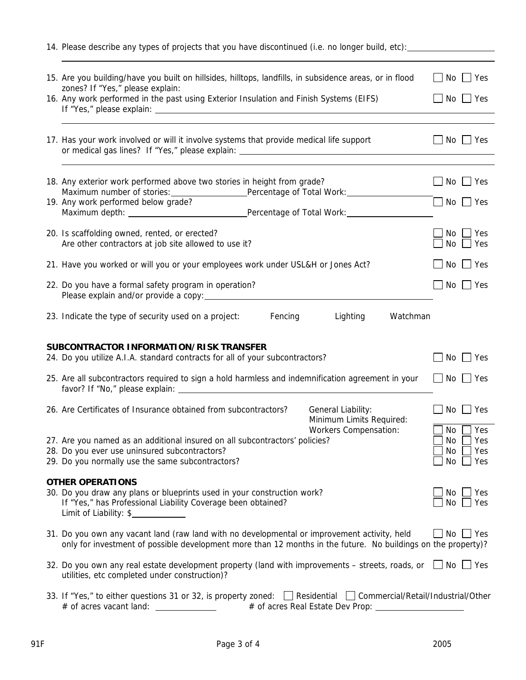| 14. Please describe any types of projects that you have discontinued (i.e. no longer build, etc):                                                                                                                                                            |                                                                            |
|--------------------------------------------------------------------------------------------------------------------------------------------------------------------------------------------------------------------------------------------------------------|----------------------------------------------------------------------------|
| 15. Are you building/have you built on hillsides, hilltops, landfills, in subsidence areas, or in flood<br>zones? If "Yes," please explain:                                                                                                                  | $No \cup Yes$<br>$\mathbf{I}$                                              |
| 16. Any work performed in the past using Exterior Insulation and Finish Systems (EIFS)                                                                                                                                                                       | $\mathbf{I}$<br>No $\Box$ Yes                                              |
| 17. Has your work involved or will it involve systems that provide medical life support                                                                                                                                                                      | $No \cup Yes$                                                              |
| 18. Any exterior work performed above two stories in height from grade?                                                                                                                                                                                      | $No \cup Yes$                                                              |
| Maximum number of stories: _________________Percentage of Total Work: ___________<br>19. Any work performed below grade?                                                                                                                                     | $\Box$ No $\Box$ Yes                                                       |
| 20. Is scaffolding owned, rented, or erected?<br>Are other contractors at job site allowed to use it?                                                                                                                                                        | $\sqsupset$ Yes<br>No<br>No<br>Yes                                         |
| 21. Have you worked or will you or your employees work under USL&H or Jones Act?                                                                                                                                                                             | $No \cup Yes$                                                              |
| 22. Do you have a formal safety program in operation?                                                                                                                                                                                                        | $No$ $Yes$                                                                 |
| 23. Indicate the type of security used on a project: Fencing<br>Lighting                                                                                                                                                                                     | Watchman                                                                   |
| SUBCONTRACTOR INFORMATION/RISK TRANSFER<br>24. Do you utilize A.I.A. standard contracts for all of your subcontractors?<br>25. Are all subcontractors required to sign a hold harmless and indemnification agreement in your                                 | $No \cup Yes$<br>$\Box$ No $\Box$ Yes                                      |
| 26. Are Certificates of Insurance obtained from subcontractors?<br>General Liability:<br>Minimum Limits Required:                                                                                                                                            | $No \Box Yes$                                                              |
| <b>Workers Compensation:</b><br>27. Are you named as an additional insured on all subcontractors' policies?<br>28. Do you ever use uninsured subcontractors?<br>29. Do you normally use the same subcontractors?                                             | $\Box$ No $\Box$ Yes<br>Yes<br>No<br>Yes<br>No<br>$\blacksquare$ Yes<br>No |
|                                                                                                                                                                                                                                                              |                                                                            |
| <b>OTHER OPERATIONS</b><br>30. Do you draw any plans or blueprints used in your construction work?<br>If "Yes," has Professional Liability Coverage been obtained?<br>Limit of Liability: \$                                                                 | No.<br>No.                                                                 |
| only for investment of possible development more than 12 months in the future. No buildings on the property)?                                                                                                                                                |                                                                            |
| 31. Do you own any vacant land (raw land with no developmental or improvement activity, held<br>32. Do you own any real estate development property (land with improvements – streets, roads, or □ No □ Yes<br>utilities, etc completed under construction)? | Yes<br>Yes<br>No   Yes                                                     |